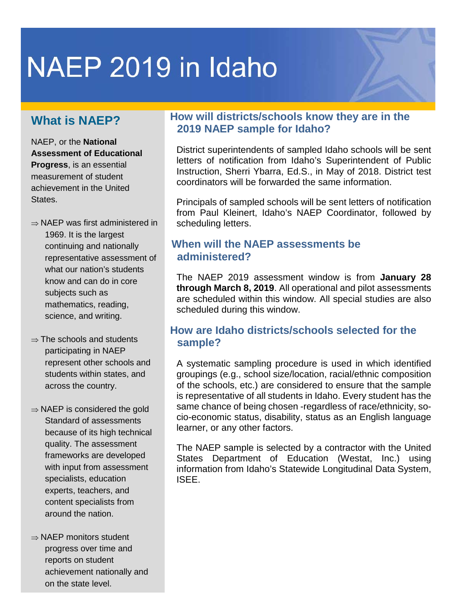# NAEP 2019 in Idaho

# **What is NAEP?**

NAEP, or the **National Assessment of Educational Progress**, is an essential measurement of student achievement in the United States.

- ⇒ NAEP was first administered in 1969. It is the largest continuing and nationally representative assessment of what our nation's students know and can do in core subjects such as mathematics, reading, science, and writing.
- $\Rightarrow$  The schools and students participating in NAEP represent other schools and students within states, and across the country.
- $\Rightarrow$  NAEP is considered the gold Standard of assessments because of its high technical quality. The assessment frameworks are developed with input from assessment specialists, education experts, teachers, and content specialists from around the nation.
- ⇒ NAEP monitors student progress over time and reports on student achievement nationally and on the state level.

## **How will districts/schools know they are in the 2019 NAEP sample for Idaho?**

District superintendents of sampled Idaho schools will be sent letters of notification from Idaho's Superintendent of Public Instruction, Sherri Ybarra, Ed.S., in May of 2018. District test coordinators will be forwarded the same information.

Principals of sampled schools will be sent letters of notification from Paul Kleinert, Idaho's NAEP Coordinator, followed by scheduling letters.

## **When will the NAEP assessments be administered?**

The NAEP 2019 assessment window is from **January 28 through March 8, 2019**. All operational and pilot assessments are scheduled within this window. All special studies are also scheduled during this window.

# **How are Idaho districts/schools selected for the sample?**

A systematic sampling procedure is used in which identified groupings (e.g., school size/location, racial/ethnic composition of the schools, etc.) are considered to ensure that the sample is representative of all students in Idaho. Every student has the same chance of being chosen -regardless of race/ethnicity, socio-economic status, disability, status as an English language learner, or any other factors.

The NAEP sample is selected by a contractor with the United States Department of Education (Westat, Inc.) using information from Idaho's Statewide Longitudinal Data System, ISEE.